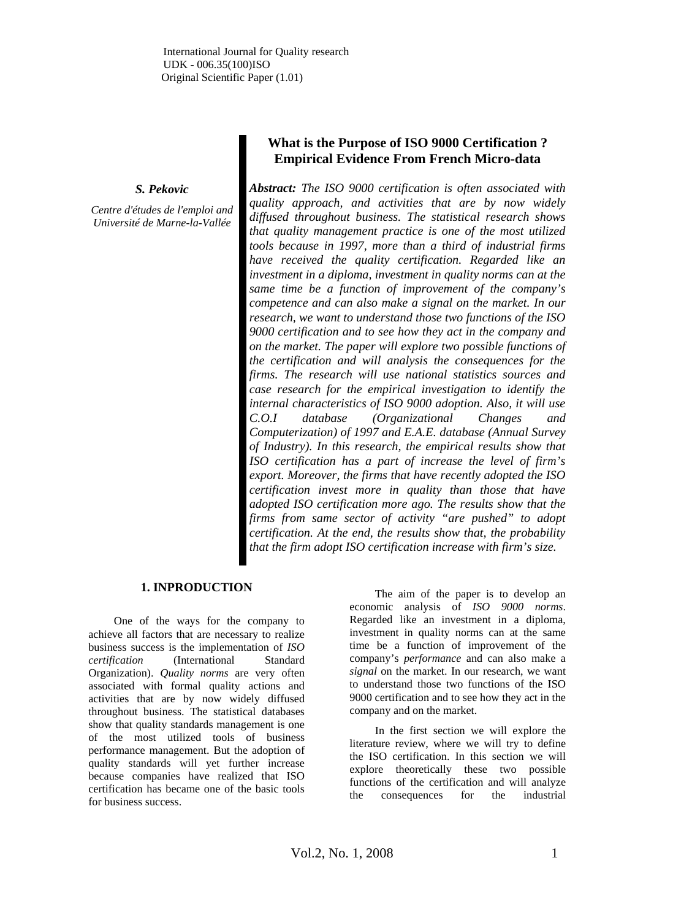# *S. Pekovic*

*Centre d'études de l'emploi and Université de Marne-la-Vallée* 

# **What is the Purpose of ISO 9000 Certification ? Empirical Evidence From French Micro-data**

*Abstract: The ISO 9000 certification is often associated with quality approach, and activities that are by now widely diffused throughout business. The statistical research shows that quality management practice is one of the most utilized tools because in 1997, more than a third of industrial firms have received the quality certification. Regarded like an investment in a diploma, investment in quality norms can at the same time be a function of improvement of the company's competence and can also make a signal on the market. In our research, we want to understand those two functions of the ISO 9000 certification and to see how they act in the company and on the market. The paper will explore two possible functions of the certification and will analysis the consequences for the firms. The research will use national statistics sources and case research for the empirical investigation to identify the internal characteristics of ISO 9000 adoption. Also, it will use C.O.I database (Organizational Changes and Computerization) of 1997 and E.A.E. database (Annual Survey of Industry). In this research, the empirical results show that ISO certification has a part of increase the level of firm's export. Moreover, the firms that have recently adopted the ISO certification invest more in quality than those that have adopted ISO certification more ago. The results show that the firms from same sector of activity "are pushed" to adopt certification. At the end, the results show that, the probability that the firm adopt ISO certification increase with firm's size.* 

# **1. INPRODUCTION**

One of the ways for the company to achieve all factors that are necessary to realize business success is the implementation of *ISO certification* (International Standard Organization). *Quality norms* are very often associated with formal quality actions and activities that are by now widely diffused throughout business. The statistical databases show that quality standards management is one of the most utilized tools of business performance management. But the adoption of quality standards will yet further increase because companies have realized that ISO certification has became one of the basic tools for business success.

The aim of the paper is to develop an economic analysis of *ISO 9000 norms*. Regarded like an investment in a diploma, investment in quality norms can at the same time be a function of improvement of the company's *performance* and can also make a *signal* on the market. In our research, we want to understand those two functions of the ISO 9000 certification and to see how they act in the company and on the market.

In the first section we will explore the literature review, where we will try to define the ISO certification. In this section we will explore theoretically these two possible functions of the certification and will analyze the consequences for the industrial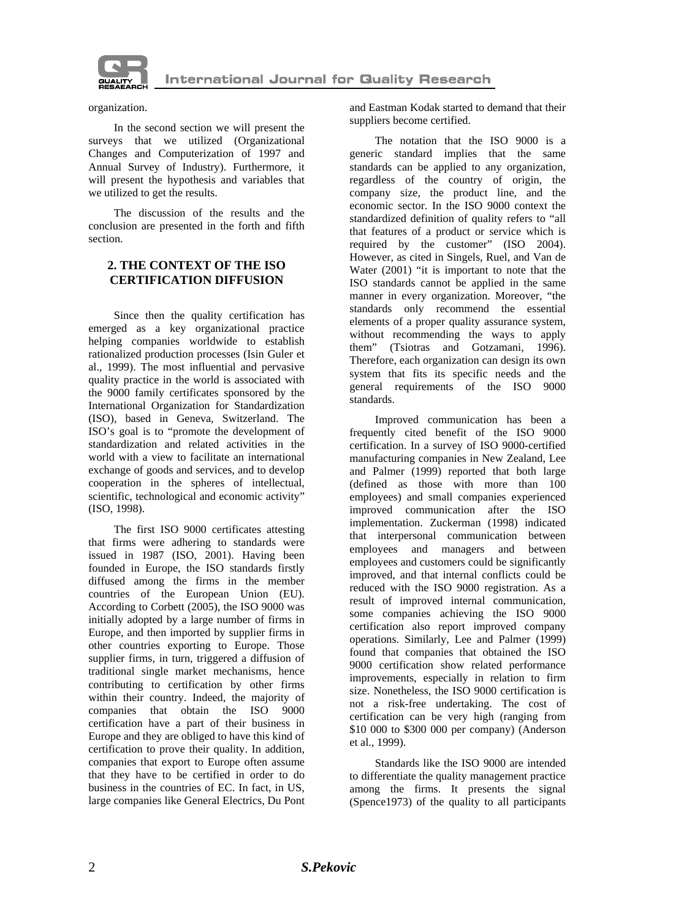

organization.

In the second section we will present the surveys that we utilized (Organizational Changes and Computerization of 1997 and Annual Survey of Industry). Furthermore, it will present the hypothesis and variables that we utilized to get the results.

The discussion of the results and the conclusion are presented in the forth and fifth section.

# **2. THE CONTEXT OF THE ISO CERTIFICATION DIFFUSION**

Since then the quality certification has emerged as a key organizational practice helping companies worldwide to establish rationalized production processes (Isin Guler et al., 1999). The most influential and pervasive quality practice in the world is associated with the 9000 family certificates sponsored by the International Organization for Standardization (ISO), based in Geneva, Switzerland. The ISO's goal is to "promote the development of standardization and related activities in the world with a view to facilitate an international exchange of goods and services, and to develop cooperation in the spheres of intellectual, scientific, technological and economic activity" (ISO, 1998).

The first ISO 9000 certificates attesting that firms were adhering to standards were issued in 1987 (ISO, 2001). Having been founded in Europe, the ISO standards firstly diffused among the firms in the member countries of the European Union (EU). According to Corbett (2005), the ISO 9000 was initially adopted by a large number of firms in Europe, and then imported by supplier firms in other countries exporting to Europe. Those supplier firms, in turn, triggered a diffusion of traditional single market mechanisms, hence contributing to certification by other firms within their country. Indeed, the majority of companies that obtain the ISO 9000 certification have a part of their business in Europe and they are obliged to have this kind of certification to prove their quality. In addition, companies that export to Europe often assume that they have to be certified in order to do business in the countries of EC. In fact, in US, large companies like General Electrics, Du Pont

and Eastman Kodak started to demand that their suppliers become certified.

The notation that the ISO 9000 is a generic standard implies that the same standards can be applied to any organization, regardless of the country of origin, the company size, the product line, and the economic sector. In the ISO 9000 context the standardized definition of quality refers to "all that features of a product or service which is required by the customer" (ISO 2004). However, as cited in Singels, Ruel, and Van de Water (2001) "it is important to note that the ISO standards cannot be applied in the same manner in every organization. Moreover, "the standards only recommend the essential elements of a proper quality assurance system, without recommending the ways to apply them" (Tsiotras and Gotzamani, 1996). Therefore, each organization can design its own system that fits its specific needs and the general requirements of the ISO 9000 standards.

Improved communication has been a frequently cited benefit of the ISO 9000 certification. In a survey of ISO 9000-certified manufacturing companies in New Zealand, Lee and Palmer (1999) reported that both large (defined as those with more than 100 employees) and small companies experienced improved communication after the ISO implementation. Zuckerman (1998) indicated that interpersonal communication between employees and managers and between employees and customers could be significantly improved, and that internal conflicts could be reduced with the ISO 9000 registration. As a result of improved internal communication, some companies achieving the ISO 9000 certification also report improved company operations. Similarly, Lee and Palmer (1999) found that companies that obtained the ISO 9000 certification show related performance improvements, especially in relation to firm size. Nonetheless, the ISO 9000 certification is not a risk-free undertaking. The cost of certification can be very high (ranging from \$10 000 to \$300 000 per company) (Anderson et al., 1999).

Standards like the ISO 9000 are intended to differentiate the quality management practice among the firms. It presents the signal (Spence1973) of the quality to all participants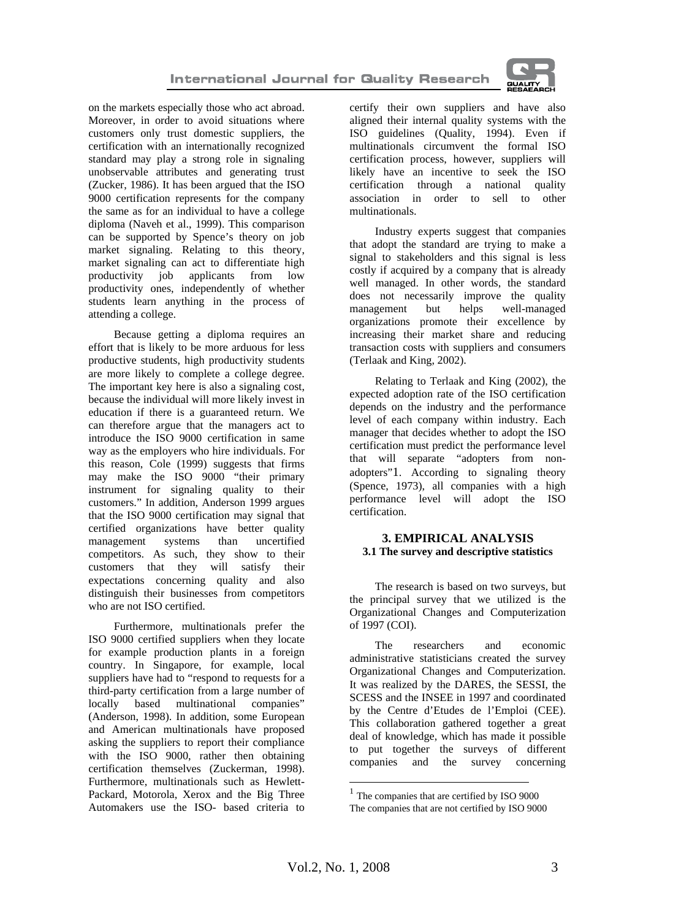

on the markets especially those who act abroad. Moreover, in order to avoid situations where customers only trust domestic suppliers, the certification with an internationally recognized standard may play a strong role in signaling unobservable attributes and generating trust (Zucker, 1986). It has been argued that the ISO 9000 certification represents for the company the same as for an individual to have a college diploma (Naveh et al., 1999). This comparison can be supported by Spence's theory on job market signaling. Relating to this theory, market signaling can act to differentiate high productivity job applicants from low productivity ones, independently of whether students learn anything in the process of attending a college.

Because getting a diploma requires an effort that is likely to be more arduous for less productive students, high productivity students are more likely to complete a college degree. The important key here is also a signaling cost, because the individual will more likely invest in education if there is a guaranteed return. We can therefore argue that the managers act to introduce the ISO 9000 certification in same way as the employers who hire individuals. For this reason, Cole (1999) suggests that firms may make the ISO 9000 "their primary instrument for signaling quality to their customers." In addition, Anderson 1999 argues that the ISO 9000 certification may signal that certified organizations have better quality<br>management systems than uncertified management systems competitors. As such, they show to their customers that they will satisfy their expectations concerning quality and also distinguish their businesses from competitors who are not ISO certified.

Furthermore, multinationals prefer the ISO 9000 certified suppliers when they locate for example production plants in a foreign country. In Singapore, for example, local suppliers have had to "respond to requests for a third-party certification from a large number of locally based multinational companies" (Anderson, 1998). In addition, some European and American multinationals have proposed asking the suppliers to report their compliance with the ISO 9000, rather then obtaining certification themselves (Zuckerman, 1998). Furthermore, multinationals such as Hewlett-Packard, Motorola, Xerox and the Big Three Automakers use the ISO- based criteria to

certify their own suppliers and have also aligned their internal quality systems with the ISO guidelines (Quality, 1994). Even if multinationals circumvent the formal ISO certification process, however, suppliers will likely have an incentive to seek the ISO certification through a national quality association in order to sell to other multinationals.

Industry experts suggest that companies that adopt the standard are trying to make a signal to stakeholders and this signal is less costly if acquired by a company that is already well managed. In other words, the standard does not necessarily improve the quality management but helps well-managed organizations promote their excellence by increasing their market share and reducing transaction costs with suppliers and consumers (Terlaak and King, 2002).

Relating to Terlaak and King (2002), the expected adoption rate of the ISO certification depends on the industry and the performance level of each company within industry. Each manager that decides whether to adopt the ISO certification must predict the performance level that will separate "adopters from nonadopters"1. According to signaling theory (Spence, 1973), all companies with a high performance level will adopt the ISO certification.

## **3. EMPIRICAL ANALYSIS 3.1 The survey and descriptive statistics**

The research is based on two surveys, but the principal survey that we utilized is the Organizational Changes and Computerization of 1997 (COI).

The researchers and economic administrative statisticians created the survey Organizational Changes and Computerization. It was realized by the DARES, the SESSI, the SCESS and the INSEE in 1997 and coordinated by the Centre d'Etudes de l'Emploi (CEE). This collaboration gathered together a great deal of knowledge, which has made it possible to put together the surveys of different companies and the survey concerning

l

<sup>1</sup> The companies that are certified by ISO 9000 The companies that are not certified by ISO 9000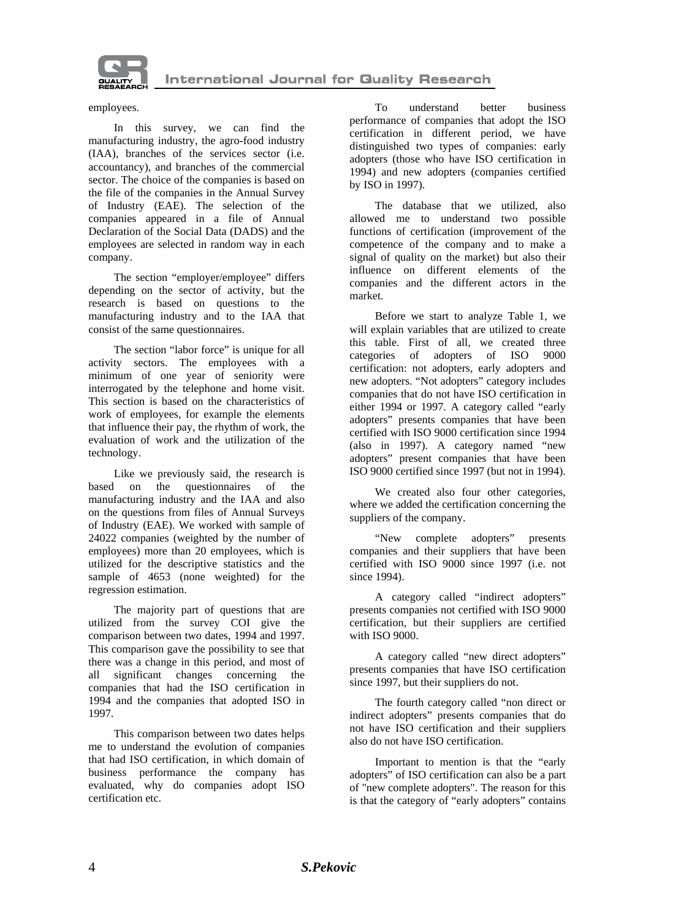

employees.

In this survey, we can find the manufacturing industry, the agro-food industry (IAA), branches of the services sector (i.e. accountancy), and branches of the commercial sector. The choice of the companies is based on the file of the companies in the Annual Survey of Industry (EAE). The selection of the companies appeared in a file of Annual Declaration of the Social Data (DADS) and the employees are selected in random way in each company.

The section "employer/employee" differs depending on the sector of activity, but the research is based on questions to the manufacturing industry and to the IAA that consist of the same questionnaires.

The section "labor force" is unique for all activity sectors. The employees with a minimum of one year of seniority were interrogated by the telephone and home visit. This section is based on the characteristics of work of employees, for example the elements that influence their pay, the rhythm of work, the evaluation of work and the utilization of the technology.

Like we previously said, the research is based on the questionnaires of the manufacturing industry and the IAA and also on the questions from files of Annual Surveys of Industry (EAE). We worked with sample of 24022 companies (weighted by the number of employees) more than 20 employees, which is utilized for the descriptive statistics and the sample of 4653 (none weighted) for the regression estimation.

The majority part of questions that are utilized from the survey COI give the comparison between two dates, 1994 and 1997. This comparison gave the possibility to see that there was a change in this period, and most of all significant changes concerning the companies that had the ISO certification in 1994 and the companies that adopted ISO in 1997.

This comparison between two dates helps me to understand the evolution of companies that had ISO certification, in which domain of business performance the company has evaluated, why do companies adopt ISO certification etc.

To understand better business performance of companies that adopt the ISO certification in different period, we have distinguished two types of companies: early adopters (those who have ISO certification in 1994) and new adopters (companies certified by ISO in 1997).

The database that we utilized, also allowed me to understand two possible functions of certification (improvement of the competence of the company and to make a signal of quality on the market) but also their influence on different elements of the companies and the different actors in the market.

Before we start to analyze Table 1, we will explain variables that are utilized to create this table. First of all, we created three categories of adopters of ISO 9000 certification: not adopters, early adopters and new adopters. "Not adopters" category includes companies that do not have ISO certification in either 1994 or 1997. A category called "early adopters" presents companies that have been certified with ISO 9000 certification since 1994 (also in 1997). A category named "new adopters" present companies that have been ISO 9000 certified since 1997 (but not in 1994).

We created also four other categories, where we added the certification concerning the suppliers of the company.

"New complete adopters" presents companies and their suppliers that have been certified with ISO 9000 since 1997 (i.e. not since 1994).

A category called "indirect adopters" presents companies not certified with ISO 9000 certification, but their suppliers are certified with ISO 9000.

A category called "new direct adopters" presents companies that have ISO certification since 1997, but their suppliers do not.

The fourth category called "non direct or indirect adopters" presents companies that do not have ISO certification and their suppliers also do not have ISO certification.

Important to mention is that the "early adopters" of ISO certification can also be a part of "new complete adopters". The reason for this is that the category of "early adopters" contains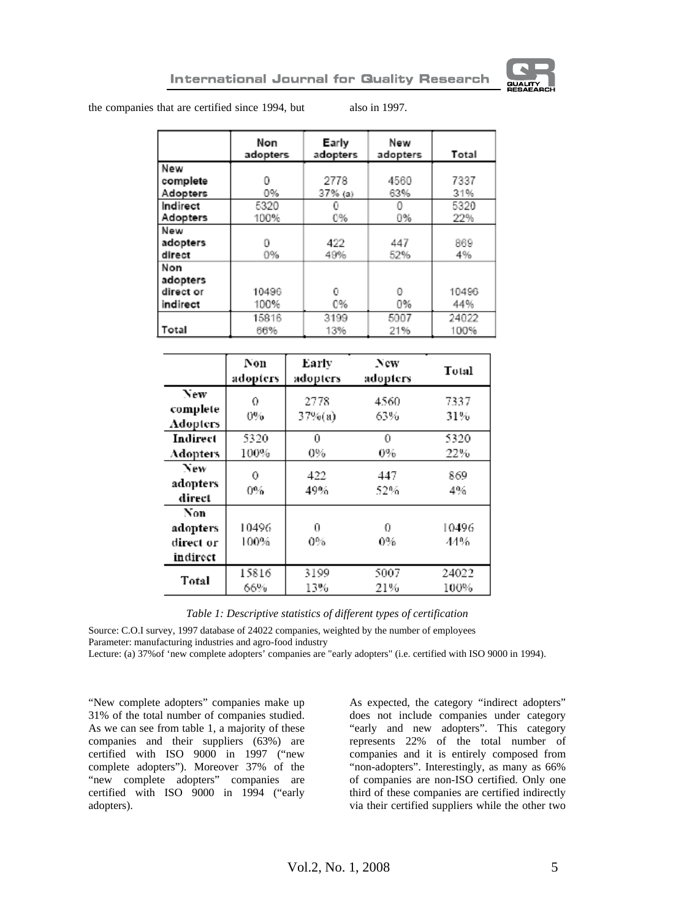

the companies that are certified since 1994, but also in 1997.

|           | Non<br>adopters | Early<br>adopters | New<br>adopters | Total |
|-----------|-----------------|-------------------|-----------------|-------|
| New       |                 |                   |                 |       |
| complete  | n               | 2778              | 4560            | 7337  |
| Adopters  | 0%              | $37\%$ (a)        | 63%             | 31%   |
| Indirect  | 5320            |                   |                 | 5320  |
| Adopters  | 100%            | 0%                | 0%              | 22%   |
| New       |                 |                   |                 |       |
| adopters  | O               | 422               | 447             | 869   |
| direct    | 0%              | 49%               | 52%             | 4%    |
| Non       |                 |                   |                 |       |
| adopters  |                 |                   |                 |       |
| direct or | 10496           | o                 | O               | 10496 |
| indirect  | 100%            | 0%                | 0%              | 44%   |
|           | 15816           | 3199              | 5007            | 24022 |
| Total     | 66%             | 13%               | 21%             | 100%  |

|                                          | Non<br>adopters | Early<br>adopters | New<br>adopters | Total         |
|------------------------------------------|-----------------|-------------------|-----------------|---------------|
| New<br>complete<br>Adopters              | 0<br>$0\%$      | 2778<br>$37%$ (a) | 4560<br>63%     | 7337<br>31%   |
| Indirect<br>Adopters                     | 5320<br>100%    | 0<br>0%           | 0<br>0%         | 5320<br>22%   |
| New<br>adopters<br>direct                | 0<br>0%         | 422<br>49%        | 447<br>52%      | 869<br>4%     |
| Non<br>adopters<br>direct or<br>indirect | 10496<br>100%   | 0<br>0%           | 0<br>0%         | 10496<br>44%  |
| Total                                    | 15816<br>66%    | 3199<br>13%       | 5007<br>21%     | 24022<br>100% |

*Table 1: Descriptive statistics of different types of certification* 

Source: C.O.I survey, 1997 database of 24022 companies, weighted by the number of employees Parameter: manufacturing industries and agro-food industry

Lecture: (a) 37%of 'new complete adopters' companies are "early adopters" (i.e. certified with ISO 9000 in 1994).

"New complete adopters" companies make up 31% of the total number of companies studied. As we can see from table 1, a majority of these companies and their suppliers (63%) are certified with ISO 9000 in 1997 ("new complete adopters"). Moreover 37% of the "new complete adopters" companies are certified with ISO 9000 in 1994 ("early adopters).

As expected, the category "indirect adopters" does not include companies under category "early and new adopters". This category represents 22% of the total number of companies and it is entirely composed from "non-adopters". Interestingly, as many as 66% of companies are non-ISO certified. Only one third of these companies are certified indirectly via their certified suppliers while the other two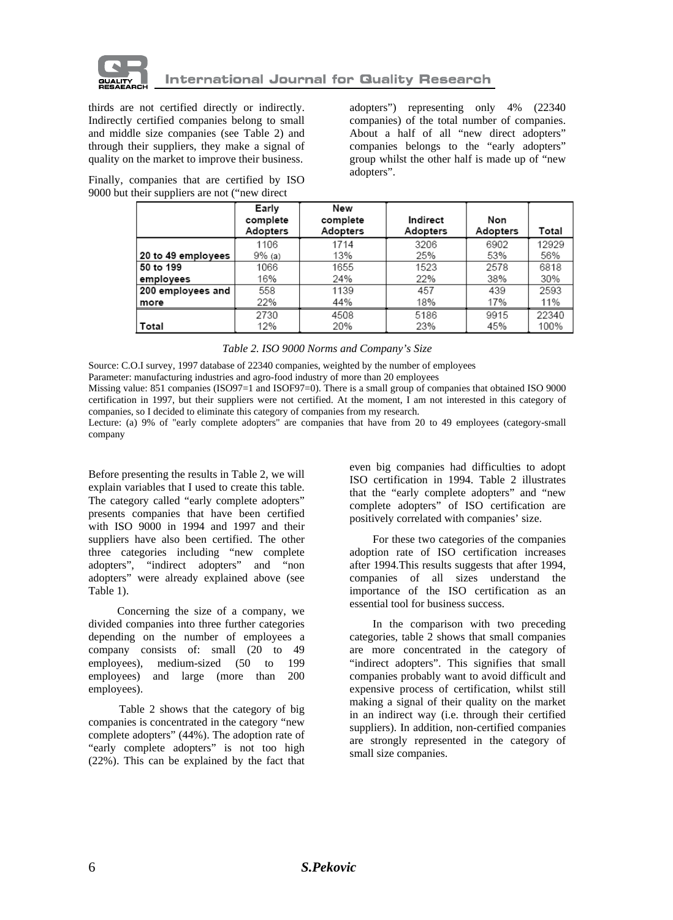

thirds are not certified directly or indirectly. Indirectly certified companies belong to small and middle size companies (see Table 2) and through their suppliers, they make a signal of quality on the market to improve their business.

adopters") representing only 4% (22340 companies) of the total number of companies. About a half of all "new direct adopters" companies belongs to the "early adopters" group whilst the other half is made up of "new adopters".

Finally, companies that are certified by ISO 9000 but their suppliers are not ("new direct

|                    | Early                | New                  |                      |                 |       |
|--------------------|----------------------|----------------------|----------------------|-----------------|-------|
|                    | complete<br>Adopters | complete<br>Adopters | Indirect<br>Adopters | Non<br>Adopters | Total |
|                    | 1106                 | 1714                 | 3206                 | 6902            | 12929 |
| 20 to 49 employees | 9% (a)               | 13%                  | 25%                  | 53%             | 56%   |
| 50 to 199          | 1066                 | 1655                 | 1523                 | 2578            | 6818  |
| employees          | 16%                  | 24%                  | 22%                  | 38%             | 30%   |
| 200 employees and  | 558                  | 1139                 | 457                  | 439             | 2593  |
| more               | 22%                  | 44%                  | 18%                  | 17%             | 11%   |
|                    | 2730                 | 4508                 | 5186                 | 9915            | 22340 |
| Total              | 12%                  | 20%                  | 23%                  | 45%             | 100%  |

#### *Table 2. ISO 9000 Norms and Company's Size*

Source: C.O.I survey, 1997 database of 22340 companies, weighted by the number of employees

Parameter: manufacturing industries and agro-food industry of more than 20 employees

Missing value: 851 companies (ISO97=1 and ISOF97=0). There is a small group of companies that obtained ISO 9000 certification in 1997, but their suppliers were not certified. At the moment, I am not interested in this category of companies, so I decided to eliminate this category of companies from my research.

Lecture: (a) 9% of "early complete adopters" are companies that have from 20 to 49 employees (category-small company

Before presenting the results in Table 2, we will explain variables that I used to create this table. The category called "early complete adopters" presents companies that have been certified with ISO 9000 in 1994 and 1997 and their suppliers have also been certified. The other three categories including "new complete adopters", "indirect adopters" and "non adopters" were already explained above (see Table 1).

Concerning the size of a company, we divided companies into three further categories depending on the number of employees a company consists of: small (20 to 49 employees), medium-sized (50 to 199 employees) and large (more than 200 employees).

Table 2 shows that the category of big companies is concentrated in the category "new complete adopters" (44%). The adoption rate of "early complete adopters" is not too high (22%). This can be explained by the fact that even big companies had difficulties to adopt ISO certification in 1994. Table 2 illustrates that the "early complete adopters" and "new complete adopters" of ISO certification are positively correlated with companies' size.

For these two categories of the companies adoption rate of ISO certification increases after 1994.This results suggests that after 1994, companies of all sizes understand the importance of the ISO certification as an essential tool for business success.

In the comparison with two preceding categories, table 2 shows that small companies are more concentrated in the category of "indirect adopters". This signifies that small companies probably want to avoid difficult and expensive process of certification, whilst still making a signal of their quality on the market in an indirect way (i.e. through their certified suppliers). In addition, non-certified companies are strongly represented in the category of small size companies.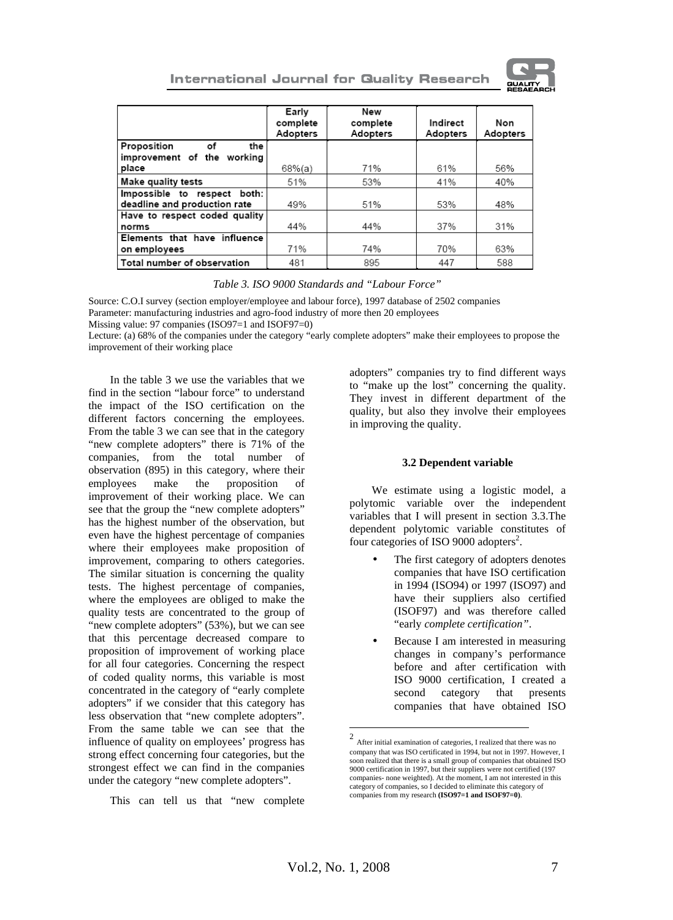

|                                                                | Early<br>complete<br>Adopters | New<br>complete<br>Adopters | Indirect<br>Adopters | Non<br>Adopters |
|----------------------------------------------------------------|-------------------------------|-----------------------------|----------------------|-----------------|
| Proposition<br>οf<br>the                                       |                               |                             |                      |                 |
| improvement of the working                                     |                               |                             |                      |                 |
| place                                                          | $68%$ (a)                     | 71%                         | 61%                  | 56%             |
| Make quality tests                                             | 51%                           | 53%                         | 41%                  | 40%             |
| Impossible to respect<br>both:<br>deadline and production rate | 49%                           | 51%                         | 53%                  | 48%             |
| Have to respect coded quality                                  |                               |                             |                      |                 |
| norms                                                          | 44%                           | 44%                         | 37%                  | 31%             |
| Elements that have influence                                   |                               |                             |                      |                 |
| on employees                                                   | 71%                           | 74%                         | 70%                  | 63%             |
| Total number of observation                                    | 481                           | 895                         | 447                  | 588             |

### *Table 3. ISO 9000 Standards and "Labour Force"*

Source: C.O.I survey (section employer/employee and labour force), 1997 database of 2502 companies Parameter: manufacturing industries and agro-food industry of more then 20 employees

Missing value: 97 companies (ISO97=1 and ISOF97=0)

Lecture: (a) 68% of the companies under the category "early complete adopters" make their employees to propose the improvement of their working place

In the table 3 we use the variables that we find in the section "labour force" to understand the impact of the ISO certification on the different factors concerning the employees. From the table 3 we can see that in the category "new complete adopters" there is 71% of the companies, from the total number of observation (895) in this category, where their employees make the proposition of improvement of their working place. We can see that the group the "new complete adopters" has the highest number of the observation, but even have the highest percentage of companies where their employees make proposition of improvement, comparing to others categories. The similar situation is concerning the quality tests. The highest percentage of companies, where the employees are obliged to make the quality tests are concentrated to the group of "new complete adopters" (53%), but we can see that this percentage decreased compare to proposition of improvement of working place for all four categories. Concerning the respect of coded quality norms, this variable is most concentrated in the category of "early complete adopters" if we consider that this category has less observation that "new complete adopters". From the same table we can see that the influence of quality on employees' progress has strong effect concerning four categories, but the strongest effect we can find in the companies under the category "new complete adopters".

This can tell us that "new complete

adopters" companies try to find different ways to "make up the lost" concerning the quality. They invest in different department of the quality, but also they involve their employees in improving the quality.

### **3.2 Dependent variable**

We estimate using a logistic model, a polytomic variable over the independent variables that I will present in section 3.3.The dependent polytomic variable constitutes of four categories of ISO 9000 adopters<sup>2</sup>.

- The first category of adopters denotes companies that have ISO certification in 1994 (ISO94) or 1997 (ISO97) and have their suppliers also certified (ISOF97) and was therefore called "early *complete certification"*.
- Because I am interested in measuring changes in company's performance before and after certification with ISO 9000 certification, I created a second category that presents companies that have obtained ISO

<sup>&</sup>lt;sup>2</sup> After initial examination of categories, I realized that there was no company that was ISO certificated in 1994, but not in 1997. However, I soon realized that there is a small group of companies that obtained ISO 9000 certification in 1997, but their suppliers were not certified (197 companies- none weighted). At the moment, I am not interested in this category of companies, so I decided to eliminate this category of companies from my research **(ISO97=1 and ISOF97=0)**.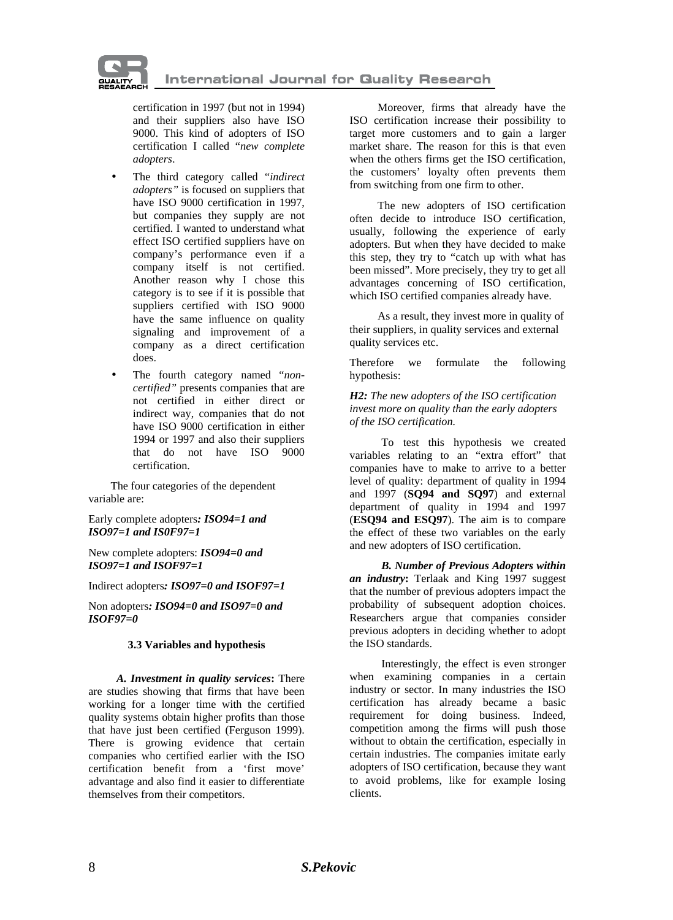

certification in 1997 (but not in 1994) and their suppliers also have ISO 9000. This kind of adopters of ISO certification I called "*new complete adopters*.

- The third category called "*indirect adopters"* is focused on suppliers that have ISO 9000 certification in 1997, but companies they supply are not certified. I wanted to understand what effect ISO certified suppliers have on company's performance even if a company itself is not certified. Another reason why I chose this category is to see if it is possible that suppliers certified with ISO 9000 have the same influence on quality signaling and improvement of a company as a direct certification does.
- The fourth category named "non*certified"* presents companies that are not certified in either direct or indirect way, companies that do not have ISO 9000 certification in either 1994 or 1997 and also their suppliers that do not have ISO 9000 certification.

The four categories of the dependent variable are:

Early complete adopters*: ISO94=1 and ISO97=1 and IS0F97=1* 

New complete adopters: *ISO94=0 and ISO97=1 and ISOF97=1* 

Indirect adopters*: ISO97=0 and ISOF97=1* 

Non adopters*: ISO94=0 and ISO97=0 and ISOF97=0* 

#### **3.3 Variables and hypothesis**

*A. Investment in quality services***:** There are studies showing that firms that have been working for a longer time with the certified quality systems obtain higher profits than those that have just been certified (Ferguson 1999). There is growing evidence that certain companies who certified earlier with the ISO certification benefit from a 'first move' advantage and also find it easier to differentiate themselves from their competitors.

Moreover, firms that already have the ISO certification increase their possibility to target more customers and to gain a larger market share. The reason for this is that even when the others firms get the ISO certification, the customers' loyalty often prevents them from switching from one firm to other.

The new adopters of ISO certification often decide to introduce ISO certification, usually, following the experience of early adopters. But when they have decided to make this step, they try to "catch up with what has been missed". More precisely, they try to get all advantages concerning of ISO certification, which ISO certified companies already have.

As a result, they invest more in quality of their suppliers, in quality services and external quality services etc.

Therefore we formulate the following hypothesis:

*H2: The new adopters of the ISO certification invest more on quality than the early adopters of the ISO certification.* 

To test this hypothesis we created variables relating to an "extra effort" that companies have to make to arrive to a better level of quality: department of quality in 1994 and 1997 (**SQ94 and SQ97**) and external department of quality in 1994 and 1997 (**ESQ94 and ESQ97**). The aim is to compare the effect of these two variables on the early and new adopters of ISO certification.

*B. Number of Previous Adopters within an industry***:** Terlaak and King 1997 suggest that the number of previous adopters impact the probability of subsequent adoption choices. Researchers argue that companies consider previous adopters in deciding whether to adopt the ISO standards.

Interestingly, the effect is even stronger when examining companies in a certain industry or sector. In many industries the ISO certification has already became a basic requirement for doing business. Indeed, competition among the firms will push those without to obtain the certification, especially in certain industries. The companies imitate early adopters of ISO certification, because they want to avoid problems, like for example losing clients.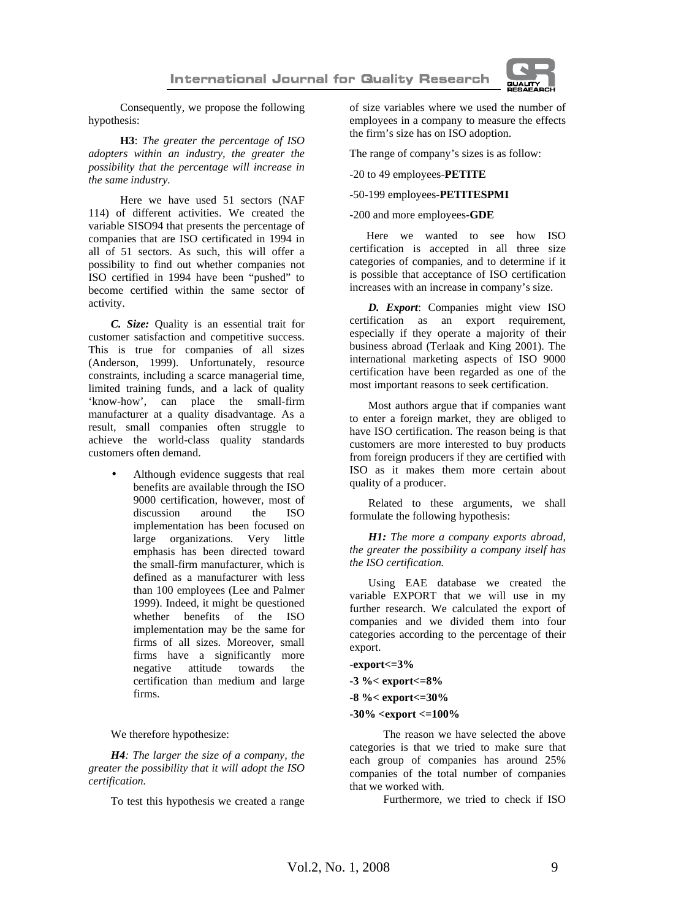

Consequently, we propose the following hypothesis:

**H3**: *The greater the percentage of ISO adopters within an industry, the greater the possibility that the percentage will increase in the same industry.* 

Here we have used 51 sectors (NAF 114) of different activities. We created the variable SISO94 that presents the percentage of companies that are ISO certificated in 1994 in all of 51 sectors. As such, this will offer a possibility to find out whether companies not ISO certified in 1994 have been "pushed" to become certified within the same sector of activity.

*C. Size:* Quality is an essential trait for customer satisfaction and competitive success. This is true for companies of all sizes (Anderson, 1999). Unfortunately, resource constraints, including a scarce managerial time, limited training funds, and a lack of quality 'know-how', can place the small-firm manufacturer at a quality disadvantage. As a result, small companies often struggle to achieve the world-class quality standards customers often demand.

> • Although evidence suggests that real benefits are available through the ISO 9000 certification, however, most of discussion around the ISO implementation has been focused on large organizations. Very little emphasis has been directed toward the small-firm manufacturer, which is defined as a manufacturer with less than 100 employees (Lee and Palmer 1999). Indeed, it might be questioned whether benefits of the ISO implementation may be the same for firms of all sizes. Moreover, small firms have a significantly more negative attitude towards the certification than medium and large firms.

We therefore hypothesize:

*H4: The larger the size of a company, the greater the possibility that it will adopt the ISO certification.* 

To test this hypothesis we created a range

of size variables where we used the number of employees in a company to measure the effects the firm's size has on ISO adoption.

The range of company's sizes is as follow:

-20 to 49 employees-**PETITE** 

#### -50-199 employees-**PETITESPMI**

-200 and more employees-**GDE** 

Here we wanted to see how ISO certification is accepted in all three size categories of companies, and to determine if it is possible that acceptance of ISO certification increases with an increase in company's size.

*D. Export*: Companies might view ISO certification as an export requirement, especially if they operate a majority of their business abroad (Terlaak and King 2001). The international marketing aspects of ISO 9000 certification have been regarded as one of the most important reasons to seek certification.

Most authors argue that if companies want to enter a foreign market, they are obliged to have ISO certification. The reason being is that customers are more interested to buy products from foreign producers if they are certified with ISO as it makes them more certain about quality of a producer.

Related to these arguments, we shall formulate the following hypothesis:

*H1: The more a company exports abroad, the greater the possibility a company itself has the ISO certification.* 

Using EAE database we created the variable EXPORT that we will use in my further research. We calculated the export of companies and we divided them into four categories according to the percentage of their export.

**-export<=3%** 

**-3 %< export<=8%** 

**-8 %< export<=30%** 

#### **-30% <export <=100%**

The reason we have selected the above categories is that we tried to make sure that each group of companies has around 25% companies of the total number of companies that we worked with.

Furthermore, we tried to check if ISO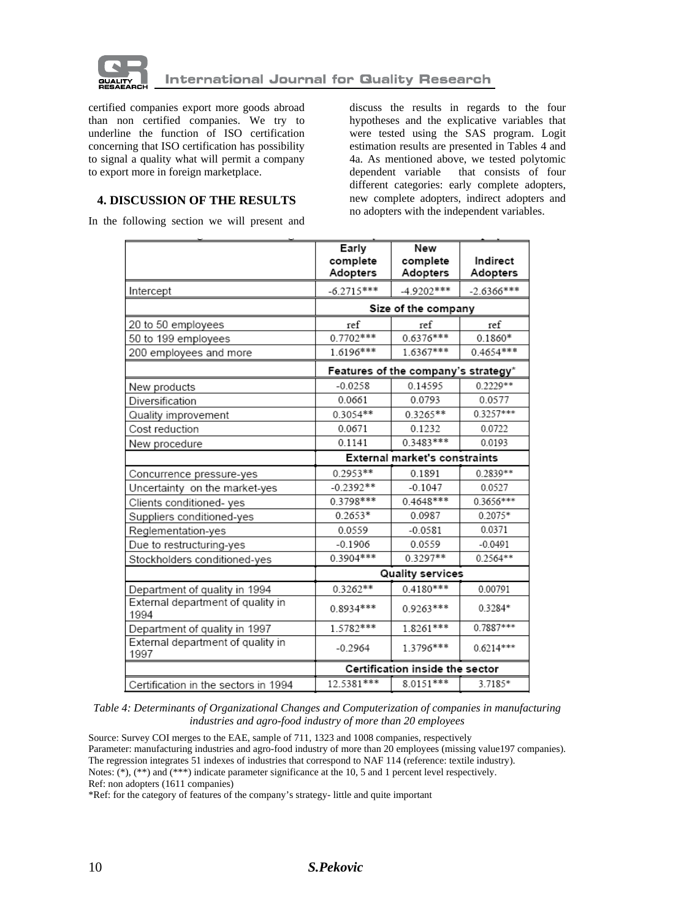

certified companies export more goods abroad than non certified companies. We try to underline the function of ISO certification concerning that ISO certification has possibility to signal a quality what will permit a company to export more in foreign marketplace.

discuss the results in regards to the four hypotheses and the explicative variables that were tested using the SAS program. Logit estimation results are presented in Tables 4 and 4a. As mentioned above, we tested polytomic dependent variable that consists of four different categories: early complete adopters, new complete adopters, indirect adopters and no adopters with the independent variables.

# **4. DISCUSSION OF THE RESULTS**

In the following section we will present and

|                                           | Early                           | New                                  |              |
|-------------------------------------------|---------------------------------|--------------------------------------|--------------|
|                                           | complete                        | complete                             | Indirect     |
|                                           | Adopters                        | Adopters                             | Adopters     |
| Intercept                                 | $-6.2715***$                    | $-4.9202***$                         | $-2.6366***$ |
|                                           | Size of the company             |                                      |              |
| 20 to 50 employees                        | ref                             | ref                                  | ref          |
| 50 to 199 employees                       | $0.7702***$                     | 0.6376***                            | $0.1860*$    |
| 200 employees and more                    | 1.6196***                       | 1.6367***                            | 0.4654***    |
|                                           |                                 | Features of the company's strategy*  |              |
| New products                              | $-0.0258$                       | 0.14595                              | $0.2229**$   |
| Diversification                           | 0.0661                          | 0.0793                               | 0.0577       |
| Quality improvement                       | 0.3054**                        | 0.3265**                             | 0.3257***    |
| Cost reduction                            | 0.0671                          | 0.1232                               | 0.0722       |
| New procedure                             | 0.1141                          | 0.3483***                            | 0.0193       |
|                                           |                                 | <b>External market's constraints</b> |              |
| Concurrence pressure-yes                  | $0.2953**$                      | 0.1891                               | 0.2839**     |
| Uncertainty on the market-yes             | $-0.2392**$                     | $-0.1047$                            | 0.0527       |
| Clients conditioned-yes                   | 0.3798***                       | $0.4648***$                          | $0.3656***$  |
| Suppliers conditioned-yes                 | $0.2653*$                       | 0.0987                               | 0.2075*      |
| Reglementation-yes                        | 0.0559                          | $-0.0581$                            | 0.0371       |
| Due to restructuring-yes                  | $-0.1906$                       | 0.0559                               | $-0.0491$    |
| Stockholders conditioned-yes              | $0.3904***$                     | $0.3297**$                           | $0.2564**$   |
|                                           | <b>Quality services</b>         |                                      |              |
| Department of quality in 1994             | $0.3262**$                      | $0.4180***$                          | 0.00791      |
| External department of quality in<br>1994 | $0.8934***$                     | $0.9263***$                          | 0.3284*      |
| Department of quality in 1997             | 1.5782***                       | 1.8261***                            | $0.7887***$  |
| External department of quality in<br>1997 | $-0.2964$                       | 1.3796***                            | $0.6214***$  |
|                                           | Certification inside the sector |                                      |              |
| Certification in the sectors in 1994      | 12.5381***                      | 8.0151***                            | 3.7185*      |

*Table 4: Determinants of Organizational Changes and Computerization of companies in manufacturing industries and agro-food industry of more than 20 employees* 

Source: Survey COI merges to the EAE, sample of 711, 1323 and 1008 companies, respectively Parameter: manufacturing industries and agro-food industry of more than 20 employees (missing value197 companies). The regression integrates 51 indexes of industries that correspond to NAF 114 (reference: textile industry). Notes: (\*), (\*\*) and (\*\*\*) indicate parameter significance at the 10, 5 and 1 percent level respectively. Ref: non adopters (1611 companies)

\*Ref: for the category of features of the company's strategy- little and quite important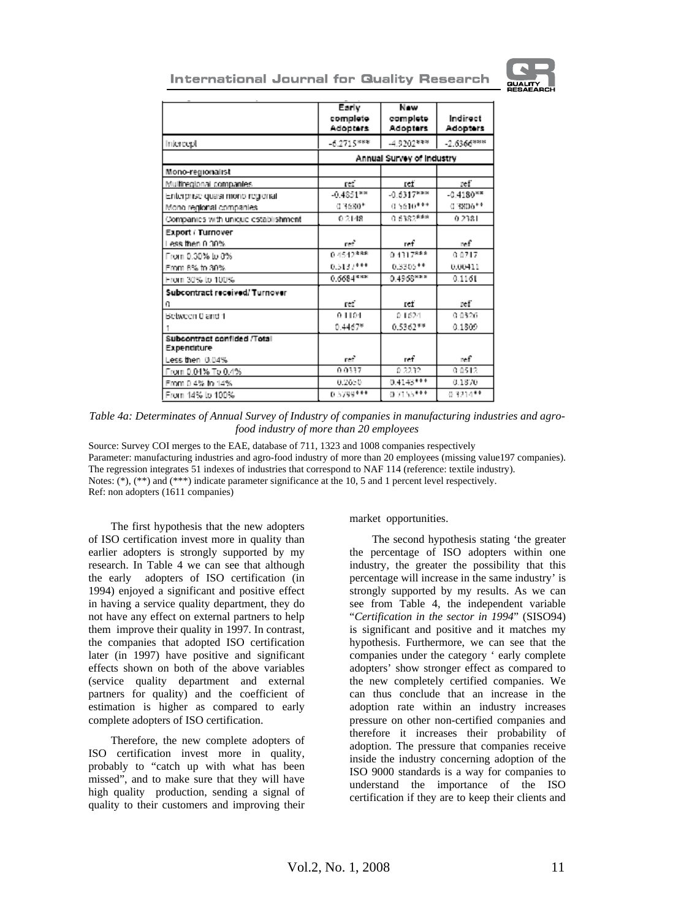

| <b>International Journal for Quality Research</b> |  |  |  |  |
|---------------------------------------------------|--|--|--|--|
|---------------------------------------------------|--|--|--|--|

|                                            | Early<br>complete<br>Adopters | New<br>complete<br>Adopters | Indirect<br><b>Adopters</b> |
|--------------------------------------------|-------------------------------|-----------------------------|-----------------------------|
| Intercept                                  | 6.2715***                     | $-4.9202***$                | $-2.6366***$                |
|                                            |                               | Annual Survey of Industry   |                             |
| Mono-regionalist                           |                               |                             |                             |
| Mulfiregional companies.                   | ref                           | ref                         | кf                          |
| Enterprise quasi mono regionali            | $-0.4851***$                  | $-0.6317***$                | $-0.4180**$                 |
| Mono regional companies.                   | $0.3680*$                     | $0.5610***$                 | $0.3806**$                  |
| Companies with unique establishment        | 0.2148                        | 0.6382***                   | 0.2381                      |
| Export / Turnover                          |                               |                             |                             |
| lless then 0.30%                           | ref                           | ref                         | n.f                         |
| From 0.30% to 0%                           | 04542***                      | $0.4317***$                 | 0.0717                      |
| From 8% to 30%                             | $0.5137***$                   | 0.3305**                    | 0.00411                     |
| From 30% to 100%                           | $0.6684***$                   | 0.4968***                   | 0.1161                      |
| Subcontract received/ Turnover             |                               |                             |                             |
| n                                          | ref                           | ref                         | ref                         |
| Between 0 and 1                            | 01104                         | 0.1624                      | 0.0326                      |
|                                            | $0.4467*$                     | 0.5362**                    | 0.1809                      |
| Subcontract confided /Total<br>Expenditure |                               |                             |                             |
| Less then 0.04%                            | ref                           | ref                         | n.f                         |
| From 0.04% To 0.4%                         | 0.0337                        | 0.2232                      | 0.0512                      |
| From 0.4% to 14%                           | 0.2650                        | $0.4143***$                 | 0.1870                      |
| From 14% to 100%                           | 0.5799***                     | $0.7155***$                 | 0.3214**                    |

*Table 4a: Determinates of Annual Survey of Industry of companies in manufacturing industries and agrofood industry of more than 20 employees* 

Source: Survey COI merges to the EAE, database of 711, 1323 and 1008 companies respectively Parameter: manufacturing industries and agro-food industry of more than 20 employees (missing value197 companies). The regression integrates 51 indexes of industries that correspond to NAF 114 (reference: textile industry). Notes: (\*), (\*\*) and (\*\*\*) indicate parameter significance at the 10, 5 and 1 percent level respectively. Ref: non adopters (1611 companies)

The first hypothesis that the new adopters of ISO certification invest more in quality than earlier adopters is strongly supported by my research. In Table 4 we can see that although the early adopters of ISO certification (in 1994) enjoyed a significant and positive effect in having a service quality department, they do not have any effect on external partners to help them improve their quality in 1997. In contrast, the companies that adopted ISO certification later (in 1997) have positive and significant effects shown on both of the above variables (service quality department and external partners for quality) and the coefficient of estimation is higher as compared to early complete adopters of ISO certification.

Therefore, the new complete adopters of ISO certification invest more in quality, probably to "catch up with what has been missed", and to make sure that they will have high quality production, sending a signal of quality to their customers and improving their market opportunities.

The second hypothesis stating 'the greater the percentage of ISO adopters within one industry, the greater the possibility that this percentage will increase in the same industry' is strongly supported by my results. As we can see from Table 4, the independent variable "*Certification in the sector in 1994*" (SISO94) is significant and positive and it matches my hypothesis. Furthermore, we can see that the companies under the category ' early complete adopters' show stronger effect as compared to the new completely certified companies. We can thus conclude that an increase in the adoption rate within an industry increases pressure on other non-certified companies and therefore it increases their probability of adoption. The pressure that companies receive inside the industry concerning adoption of the ISO 9000 standards is a way for companies to understand the importance of the ISO certification if they are to keep their clients and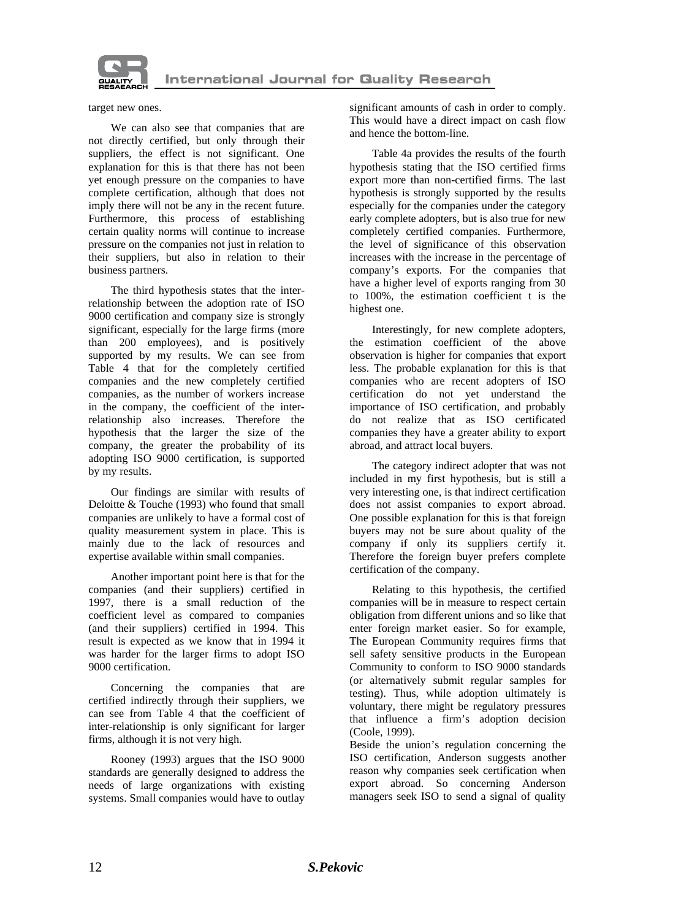

target new ones.

We can also see that companies that are not directly certified, but only through their suppliers, the effect is not significant. One explanation for this is that there has not been yet enough pressure on the companies to have complete certification, although that does not imply there will not be any in the recent future. Furthermore, this process of establishing certain quality norms will continue to increase pressure on the companies not just in relation to their suppliers, but also in relation to their business partners.

The third hypothesis states that the interrelationship between the adoption rate of ISO 9000 certification and company size is strongly significant, especially for the large firms (more than 200 employees), and is positively supported by my results. We can see from Table 4 that for the completely certified companies and the new completely certified companies, as the number of workers increase in the company, the coefficient of the interrelationship also increases. Therefore the hypothesis that the larger the size of the company, the greater the probability of its adopting ISO 9000 certification, is supported by my results.

Our findings are similar with results of Deloitte & Touche (1993) who found that small companies are unlikely to have a formal cost of quality measurement system in place. This is mainly due to the lack of resources and expertise available within small companies.

Another important point here is that for the companies (and their suppliers) certified in 1997, there is a small reduction of the coefficient level as compared to companies (and their suppliers) certified in 1994. This result is expected as we know that in 1994 it was harder for the larger firms to adopt ISO 9000 certification.

Concerning the companies that are certified indirectly through their suppliers, we can see from Table 4 that the coefficient of inter-relationship is only significant for larger firms, although it is not very high.

Rooney (1993) argues that the ISO 9000 standards are generally designed to address the needs of large organizations with existing systems. Small companies would have to outlay significant amounts of cash in order to comply. This would have a direct impact on cash flow and hence the bottom-line.

Table 4a provides the results of the fourth hypothesis stating that the ISO certified firms export more than non-certified firms. The last hypothesis is strongly supported by the results especially for the companies under the category early complete adopters, but is also true for new completely certified companies. Furthermore, the level of significance of this observation increases with the increase in the percentage of company's exports. For the companies that have a higher level of exports ranging from 30 to 100%, the estimation coefficient t is the highest one.

Interestingly, for new complete adopters, the estimation coefficient of the above observation is higher for companies that export less. The probable explanation for this is that companies who are recent adopters of ISO certification do not yet understand the importance of ISO certification, and probably do not realize that as ISO certificated companies they have a greater ability to export abroad, and attract local buyers.

The category indirect adopter that was not included in my first hypothesis, but is still a very interesting one, is that indirect certification does not assist companies to export abroad. One possible explanation for this is that foreign buyers may not be sure about quality of the company if only its suppliers certify it. Therefore the foreign buyer prefers complete certification of the company.

Relating to this hypothesis, the certified companies will be in measure to respect certain obligation from different unions and so like that enter foreign market easier. So for example, The European Community requires firms that sell safety sensitive products in the European Community to conform to ISO 9000 standards (or alternatively submit regular samples for testing). Thus, while adoption ultimately is voluntary, there might be regulatory pressures that influence a firm's adoption decision (Coole, 1999).

Beside the union's regulation concerning the ISO certification, Anderson suggests another reason why companies seek certification when export abroad. So concerning Anderson managers seek ISO to send a signal of quality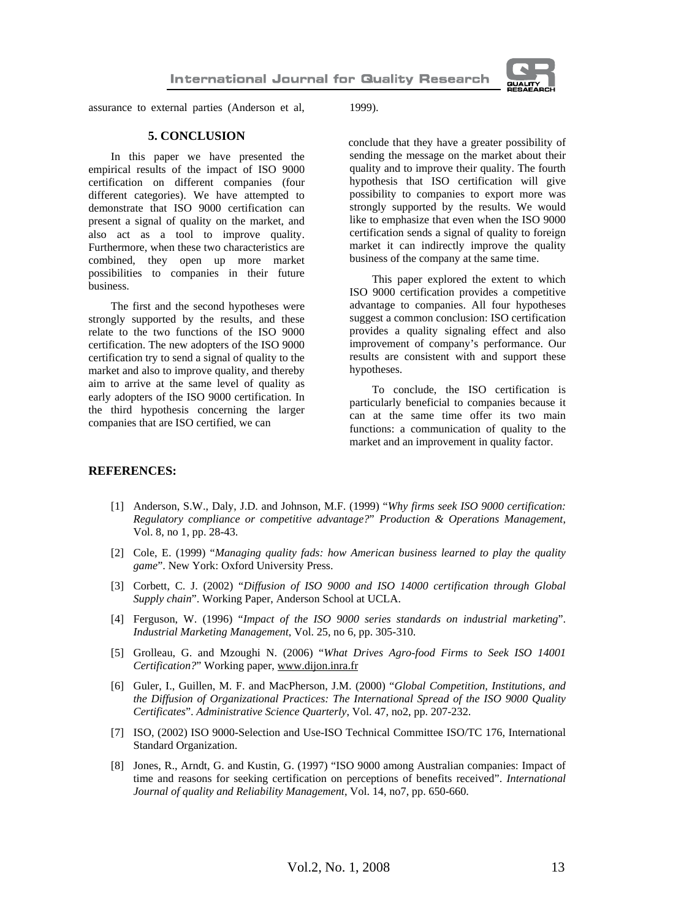

assurance to external parties (Anderson et al, 1999).

### **5. CONCLUSION**

In this paper we have presented the empirical results of the impact of ISO 9000 certification on different companies (four different categories). We have attempted to demonstrate that ISO 9000 certification can present a signal of quality on the market, and also act as a tool to improve quality. Furthermore, when these two characteristics are combined, they open up more market possibilities to companies in their future business.

The first and the second hypotheses were strongly supported by the results, and these relate to the two functions of the ISO 9000 certification. The new adopters of the ISO 9000 certification try to send a signal of quality to the market and also to improve quality, and thereby aim to arrive at the same level of quality as early adopters of the ISO 9000 certification. In the third hypothesis concerning the larger companies that are ISO certified, we can

conclude that they have a greater possibility of sending the message on the market about their quality and to improve their quality. The fourth hypothesis that ISO certification will give possibility to companies to export more was strongly supported by the results. We would like to emphasize that even when the ISO 9000 certification sends a signal of quality to foreign market it can indirectly improve the quality business of the company at the same time.

This paper explored the extent to which ISO 9000 certification provides a competitive advantage to companies. All four hypotheses suggest a common conclusion: ISO certification provides a quality signaling effect and also improvement of company's performance. Our results are consistent with and support these hypotheses.

To conclude, the ISO certification is particularly beneficial to companies because it can at the same time offer its two main functions: a communication of quality to the market and an improvement in quality factor.

#### **REFERENCES:**

- [1] Anderson, S.W., Daly, J.D. and Johnson, M.F. (1999) "*Why firms seek ISO 9000 certification: Regulatory compliance or competitive advantage?*" *Production & Operations Management*, Vol. 8, no 1, pp. 28-43.
- [2] Cole, E. (1999) "*Managing quality fads: how American business learned to play the quality game*". New York: Oxford University Press.
- [3] Corbett, C. J. (2002) "*Diffusion of ISO 9000 and ISO 14000 certification through Global Supply chain*". Working Paper, Anderson School at UCLA.
- [4] Ferguson, W. (1996) "*Impact of the ISO 9000 series standards on industrial marketing*". *Industrial Marketing Management*, Vol. 25, no 6, pp. 305-310.
- [5] Grolleau, G. and Mzoughi N. (2006) "*What Drives Agro-food Firms to Seek ISO 14001 Certification?*" Working paper, [www.dijon.inra.fr](http://www.dijon.inra.fr)
- [6] Guler, I., Guillen, M. F. and MacPherson, J.M. (2000) "*Global Competition, Institutions, and the Diffusion of Organizational Practices: The International Spread of the ISO 9000 Quality Certificates*". *Administrative Science Quarterly*, Vol. 47, no2, pp. 207-232.
- [7] ISO, (2002) ISO 9000-Selection and Use-ISO Technical Committee ISO/TC 176, International Standard Organization.
- [8] Jones, R., Arndt, G. and Kustin, G. (1997) "ISO 9000 among Australian companies: Impact of time and reasons for seeking certification on perceptions of benefits received". *International Journal of quality and Reliability Management*, Vol. 14, no7, pp. 650-660.